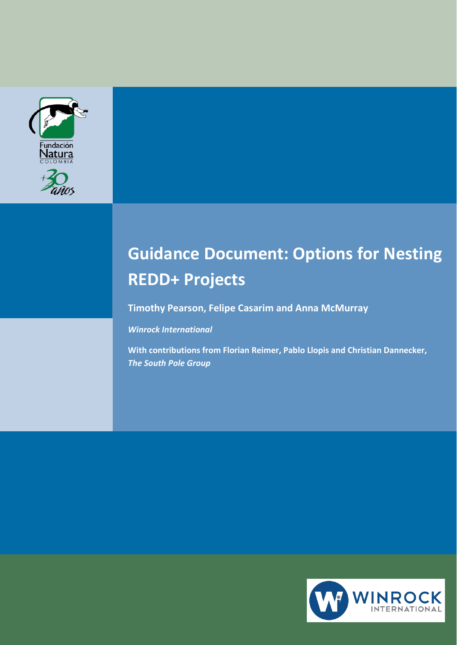



# **Guidance Document: Options for Nesting REDD+ Projects**

**Timothy Pearson, Felipe Casarim and Anna McMurray**

#### *Winrock International*

**With contributions from Florian Reimer, Pablo Llopis and Christian Dannecker,**  *The South Pole Group*

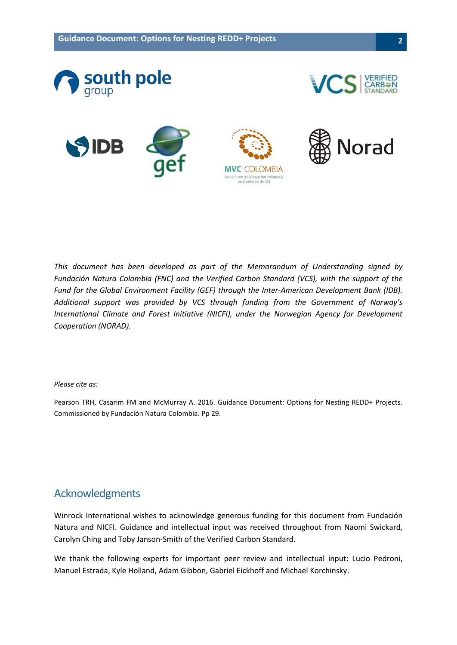

*This document has been developed as part of the Memorandum of Understanding signed by Fundación Natura Colombia (FNC) and the Verified Carbon Standard (VCS), with the support of the Fund for the Global Environment Facility (GEF) through the Inter-American Development Bank (IDB). Additional support was provided by VCS through funding from the Government of Norway's International Climate and Forest Initiative (NICFI), under the Norwegian Agency for Development Cooperation (NORAD).*

#### *Please cite as:*

Pearson TRH, Casarim FM and McMurray A. 2016. Guidance Document: Options for Nesting REDD+ Projects. Commissioned by Fundación Natura Colombia. Pp 29.

### <span id="page-1-0"></span>Acknowledgments

Winrock International wishes to acknowledge generous funding for this document from Fundación Natura and NICFI. Guidance and intellectual input was received throughout from Naomi Swickard, Carolyn Ching and Toby Janson-Smith of the Verified Carbon Standard.

We thank the following experts for important peer review and intellectual input: Lucio Pedroni, Manuel Estrada, Kyle Holland, Adam Gibbon, Gabriel Eickhoff and Michael Korchinsky.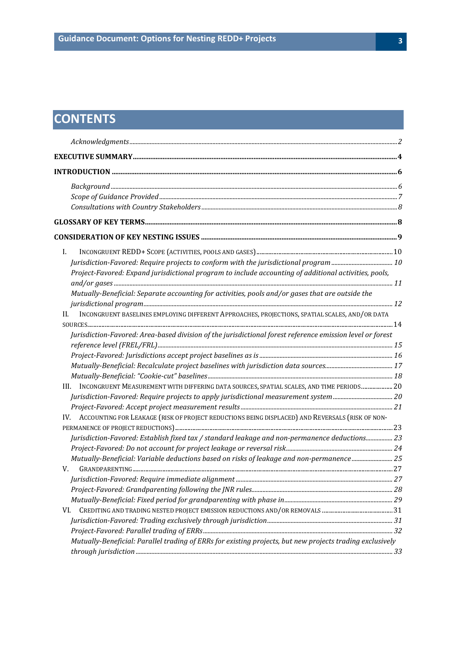## **CONTENTS**

| L.<br>Project-Favored: Expand jurisdictional program to include accounting of additional activities, pools,<br>Mutually-Beneficial: Separate accounting for activities, pools and/or gases that are outside the<br>INCONGRUENT BASELINES EMPLOYING DIFFERENT APPROACHES, PROJECTIONS, SPATIAL SCALES, AND/OR DATA<br>H.<br>Jurisdiction-Favored: Area-based division of the jurisdictional forest reference emission level or forest<br>INCONGRUENT MEASUREMENT WITH DIFFERING DATA SOURCES, SPATIAL SCALES, AND TIME PERIODS 20<br>III.<br>IV. ACCOUNTING FOR LEAKAGE (RISK OF PROJECT REDUCTIONS BEING DISPLACED) AND REVERSALS (RISK OF NON-<br>Jurisdiction-Favored: Establish fixed tax / standard leakage and non-permanence deductions 23<br>V.<br>VI. |                                                                                                           |  |
|---------------------------------------------------------------------------------------------------------------------------------------------------------------------------------------------------------------------------------------------------------------------------------------------------------------------------------------------------------------------------------------------------------------------------------------------------------------------------------------------------------------------------------------------------------------------------------------------------------------------------------------------------------------------------------------------------------------------------------------------------------------|-----------------------------------------------------------------------------------------------------------|--|
| Mutually-Beneficial: Variable deductions based on risks of leakage and non-permanence 25                                                                                                                                                                                                                                                                                                                                                                                                                                                                                                                                                                                                                                                                      |                                                                                                           |  |
|                                                                                                                                                                                                                                                                                                                                                                                                                                                                                                                                                                                                                                                                                                                                                               |                                                                                                           |  |
|                                                                                                                                                                                                                                                                                                                                                                                                                                                                                                                                                                                                                                                                                                                                                               |                                                                                                           |  |
|                                                                                                                                                                                                                                                                                                                                                                                                                                                                                                                                                                                                                                                                                                                                                               |                                                                                                           |  |
|                                                                                                                                                                                                                                                                                                                                                                                                                                                                                                                                                                                                                                                                                                                                                               |                                                                                                           |  |
|                                                                                                                                                                                                                                                                                                                                                                                                                                                                                                                                                                                                                                                                                                                                                               |                                                                                                           |  |
|                                                                                                                                                                                                                                                                                                                                                                                                                                                                                                                                                                                                                                                                                                                                                               |                                                                                                           |  |
|                                                                                                                                                                                                                                                                                                                                                                                                                                                                                                                                                                                                                                                                                                                                                               |                                                                                                           |  |
|                                                                                                                                                                                                                                                                                                                                                                                                                                                                                                                                                                                                                                                                                                                                                               |                                                                                                           |  |
|                                                                                                                                                                                                                                                                                                                                                                                                                                                                                                                                                                                                                                                                                                                                                               |                                                                                                           |  |
|                                                                                                                                                                                                                                                                                                                                                                                                                                                                                                                                                                                                                                                                                                                                                               |                                                                                                           |  |
|                                                                                                                                                                                                                                                                                                                                                                                                                                                                                                                                                                                                                                                                                                                                                               |                                                                                                           |  |
|                                                                                                                                                                                                                                                                                                                                                                                                                                                                                                                                                                                                                                                                                                                                                               |                                                                                                           |  |
|                                                                                                                                                                                                                                                                                                                                                                                                                                                                                                                                                                                                                                                                                                                                                               |                                                                                                           |  |
|                                                                                                                                                                                                                                                                                                                                                                                                                                                                                                                                                                                                                                                                                                                                                               |                                                                                                           |  |
|                                                                                                                                                                                                                                                                                                                                                                                                                                                                                                                                                                                                                                                                                                                                                               |                                                                                                           |  |
|                                                                                                                                                                                                                                                                                                                                                                                                                                                                                                                                                                                                                                                                                                                                                               |                                                                                                           |  |
|                                                                                                                                                                                                                                                                                                                                                                                                                                                                                                                                                                                                                                                                                                                                                               |                                                                                                           |  |
|                                                                                                                                                                                                                                                                                                                                                                                                                                                                                                                                                                                                                                                                                                                                                               |                                                                                                           |  |
|                                                                                                                                                                                                                                                                                                                                                                                                                                                                                                                                                                                                                                                                                                                                                               |                                                                                                           |  |
|                                                                                                                                                                                                                                                                                                                                                                                                                                                                                                                                                                                                                                                                                                                                                               |                                                                                                           |  |
|                                                                                                                                                                                                                                                                                                                                                                                                                                                                                                                                                                                                                                                                                                                                                               |                                                                                                           |  |
|                                                                                                                                                                                                                                                                                                                                                                                                                                                                                                                                                                                                                                                                                                                                                               |                                                                                                           |  |
|                                                                                                                                                                                                                                                                                                                                                                                                                                                                                                                                                                                                                                                                                                                                                               |                                                                                                           |  |
|                                                                                                                                                                                                                                                                                                                                                                                                                                                                                                                                                                                                                                                                                                                                                               |                                                                                                           |  |
|                                                                                                                                                                                                                                                                                                                                                                                                                                                                                                                                                                                                                                                                                                                                                               |                                                                                                           |  |
|                                                                                                                                                                                                                                                                                                                                                                                                                                                                                                                                                                                                                                                                                                                                                               |                                                                                                           |  |
|                                                                                                                                                                                                                                                                                                                                                                                                                                                                                                                                                                                                                                                                                                                                                               |                                                                                                           |  |
|                                                                                                                                                                                                                                                                                                                                                                                                                                                                                                                                                                                                                                                                                                                                                               |                                                                                                           |  |
|                                                                                                                                                                                                                                                                                                                                                                                                                                                                                                                                                                                                                                                                                                                                                               |                                                                                                           |  |
|                                                                                                                                                                                                                                                                                                                                                                                                                                                                                                                                                                                                                                                                                                                                                               |                                                                                                           |  |
|                                                                                                                                                                                                                                                                                                                                                                                                                                                                                                                                                                                                                                                                                                                                                               |                                                                                                           |  |
|                                                                                                                                                                                                                                                                                                                                                                                                                                                                                                                                                                                                                                                                                                                                                               |                                                                                                           |  |
|                                                                                                                                                                                                                                                                                                                                                                                                                                                                                                                                                                                                                                                                                                                                                               |                                                                                                           |  |
|                                                                                                                                                                                                                                                                                                                                                                                                                                                                                                                                                                                                                                                                                                                                                               | Mutually-Beneficial: Parallel trading of ERRs for existing projects, but new projects trading exclusively |  |
|                                                                                                                                                                                                                                                                                                                                                                                                                                                                                                                                                                                                                                                                                                                                                               |                                                                                                           |  |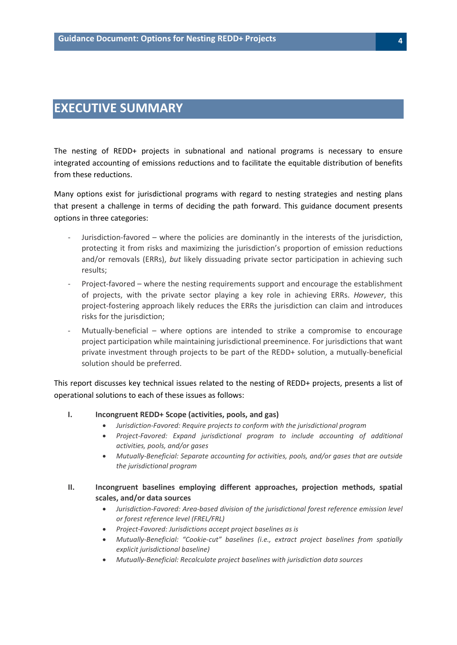## <span id="page-3-0"></span>**EXECUTIVE SUMMARY**

The nesting of REDD+ projects in subnational and national programs is necessary to ensure integrated accounting of emissions reductions and to facilitate the equitable distribution of benefits from these reductions.

Many options exist for jurisdictional programs with regard to nesting strategies and nesting plans that present a challenge in terms of deciding the path forward. This guidance document presents options in three categories:

- Jurisdiction-favored where the policies are dominantly in the interests of the jurisdiction, protecting it from risks and maximizing the jurisdiction's proportion of emission reductions and/or removals (ERRs), *but* likely dissuading private sector participation in achieving such results;
- Project-favored where the nesting requirements support and encourage the establishment of projects, with the private sector playing a key role in achieving ERRs. *However*, this project-fostering approach likely reduces the ERRs the jurisdiction can claim and introduces risks for the jurisdiction;
- Mutually-beneficial where options are intended to strike a compromise to encourage project participation while maintaining jurisdictional preeminence. For jurisdictions that want private investment through projects to be part of the REDD+ solution, a mutually-beneficial solution should be preferred.

This report discusses key technical issues related to the nesting of REDD+ projects, presents a list of operational solutions to each of these issues as follows:

#### **I. Incongruent REDD+ Scope (activities, pools, and gas)**

- *Jurisdiction-Favored: Require projects to conform with the jurisdictional program*
- *Project-Favored: Expand jurisdictional program to include accounting of additional activities, pools, and/or gases*
- *Mutually-Beneficial: Separate accounting for activities, pools, and/or gases that are outside the jurisdictional program*
- **II. Incongruent baselines employing different approaches, projection methods, spatial scales, and/or data sources**
	- *Jurisdiction-Favored: Area-based division of the jurisdictional forest reference emission level or forest reference level (FREL/FRL)*
	- *Project-Favored: Jurisdictions accept project baselines as is*
	- *Mutually-Beneficial: "Cookie-cut" baselines (i.e., extract project baselines from spatially explicit jurisdictional baseline)*
	- *Mutually-Beneficial: Recalculate project baselines with jurisdiction data sources*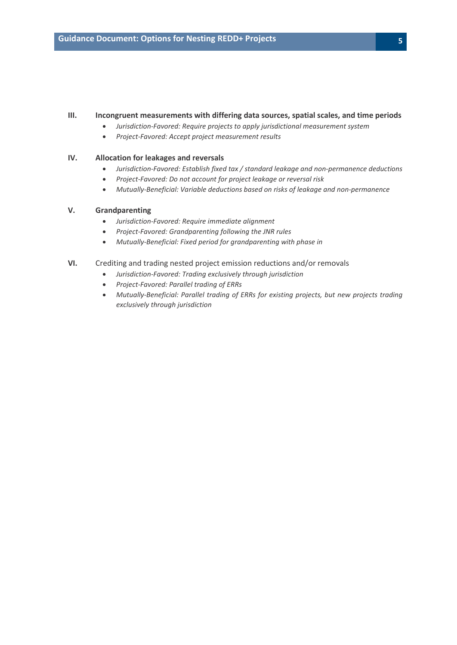#### **III. Incongruent measurements with differing data sources, spatial scales, and time periods**

- *Jurisdiction-Favored: Require projects to apply jurisdictional measurement system*
- *Project-Favored: Accept project measurement results*

#### **IV. Allocation for leakages and reversals**

- *Jurisdiction-Favored: Establish fixed tax / standard leakage and non-permanence deductions*
- *Project-Favored: Do not account for project leakage or reversal risk*
- *Mutually-Beneficial: Variable deductions based on risks of leakage and non-permanence*

#### **V. Grandparenting**

- *Jurisdiction-Favored: Require immediate alignment*
- *Project-Favored: Grandparenting following the JNR rules*
- *Mutually-Beneficial: Fixed period for grandparenting with phase in*

#### **VI.** Crediting and trading nested project emission reductions and/or removals

- *Jurisdiction-Favored: Trading exclusively through jurisdiction*
- *Project-Favored: Parallel trading of ERRs*
- *Mutually-Beneficial: Parallel trading of ERRs for existing projects, but new projects trading exclusively through jurisdiction*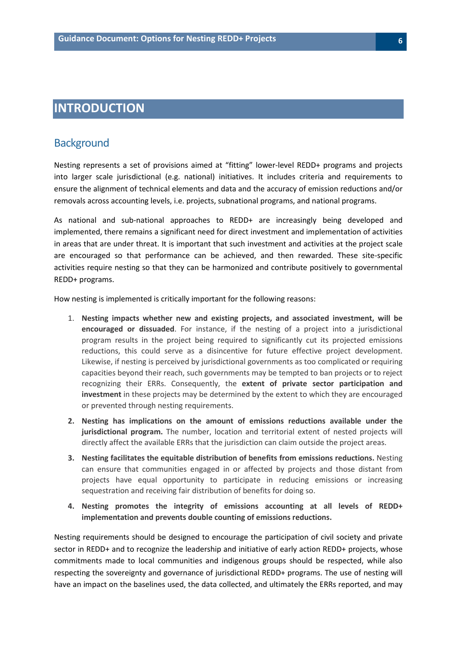## <span id="page-5-0"></span>**INTRODUCTION**

#### <span id="page-5-1"></span>**Background**

Nesting represents a set of provisions aimed at "fitting" lower-level REDD+ programs and projects into larger scale jurisdictional (e.g. national) initiatives. It includes criteria and requirements to ensure the alignment of technical elements and data and the accuracy of emission reductions and/or removals across accounting levels, i.e. projects, subnational programs, and national programs.

As national and sub-national approaches to REDD+ are increasingly being developed and implemented, there remains a significant need for direct investment and implementation of activities in areas that are under threat. It is important that such investment and activities at the project scale are encouraged so that performance can be achieved, and then rewarded. These site-specific activities require nesting so that they can be harmonized and contribute positively to governmental REDD+ programs.

How nesting is implemented is critically important for the following reasons:

- 1. **Nesting impacts whether new and existing projects, and associated investment, will be encouraged or dissuaded**. For instance, if the nesting of a project into a jurisdictional program results in the project being required to significantly cut its projected emissions reductions, this could serve as a disincentive for future effective project development. Likewise, if nesting is perceived by jurisdictional governments as too complicated or requiring capacities beyond their reach, such governments may be tempted to ban projects or to reject recognizing their ERRs. Consequently, the **extent of private sector participation and investment** in these projects may be determined by the extent to which they are encouraged or prevented through nesting requirements.
- **2. Nesting has implications on the amount of emissions reductions available under the jurisdictional program.** The number, location and territorial extent of nested projects will directly affect the available ERRs that the jurisdiction can claim outside the project areas.
- **3. Nesting facilitates the equitable distribution of benefits from emissions reductions.** Nesting can ensure that communities engaged in or affected by projects and those distant from projects have equal opportunity to participate in reducing emissions or increasing sequestration and receiving fair distribution of benefits for doing so.
- **4. Nesting promotes the integrity of emissions accounting at all levels of REDD+ implementation and prevents double counting of emissions reductions.**

Nesting requirements should be designed to encourage the participation of civil society and private sector in REDD+ and to recognize the leadership and initiative of early action REDD+ projects, whose commitments made to local communities and indigenous groups should be respected, while also respecting the sovereignty and governance of jurisdictional REDD+ programs. The use of nesting will have an impact on the baselines used, the data collected, and ultimately the ERRs reported, and may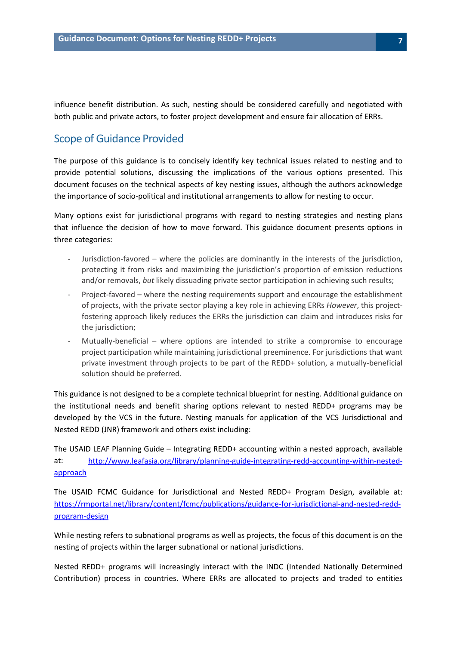influence benefit distribution. As such, nesting should be considered carefully and negotiated with both public and private actors, to foster project development and ensure fair allocation of ERRs.

### <span id="page-6-0"></span>Scope of Guidance Provided

The purpose of this guidance is to concisely identify key technical issues related to nesting and to provide potential solutions, discussing the implications of the various options presented. This document focuses on the technical aspects of key nesting issues, although the authors acknowledge the importance of socio-political and institutional arrangements to allow for nesting to occur.

Many options exist for jurisdictional programs with regard to nesting strategies and nesting plans that influence the decision of how to move forward. This guidance document presents options in three categories:

- Jurisdiction-favored where the policies are dominantly in the interests of the jurisdiction, protecting it from risks and maximizing the jurisdiction's proportion of emission reductions and/or removals, *but* likely dissuading private sector participation in achieving such results;
- Project-favored where the nesting requirements support and encourage the establishment of projects, with the private sector playing a key role in achieving ERRs *However*, this projectfostering approach likely reduces the ERRs the jurisdiction can claim and introduces risks for the jurisdiction;
- Mutually-beneficial where options are intended to strike a compromise to encourage project participation while maintaining jurisdictional preeminence. For jurisdictions that want private investment through projects to be part of the REDD+ solution, a mutually-beneficial solution should be preferred.

This guidance is not designed to be a complete technical blueprint for nesting. Additional guidance on the institutional needs and benefit sharing options relevant to nested REDD+ programs may be developed by the VCS in the future. Nesting manuals for application of the VCS Jurisdictional and Nested REDD (JNR) framework and others exist including:

The USAID LEAF Planning Guide – Integrating REDD+ accounting within a nested approach, available at: [http://www.leafasia.org/library/planning-guide-integrating-redd-accounting-within-nested](http://www.leafasia.org/library/planning-guide-integrating-redd-accounting-within-nested-approach)[approach](http://www.leafasia.org/library/planning-guide-integrating-redd-accounting-within-nested-approach)

The USAID FCMC Guidance for Jurisdictional and Nested REDD+ Program Design, available at: [https://rmportal.net/library/content/fcmc/publications/guidance-for-jurisdictional-and-nested-redd](https://rmportal.net/library/content/fcmc/publications/guidance-for-jurisdictional-and-nested-redd-program-design)[program-design](https://rmportal.net/library/content/fcmc/publications/guidance-for-jurisdictional-and-nested-redd-program-design)

While nesting refers to subnational programs as well as projects, the focus of this document is on the nesting of projects within the larger subnational or national jurisdictions.

Nested REDD+ programs will increasingly interact with the INDC (Intended Nationally Determined Contribution) process in countries. Where ERRs are allocated to projects and traded to entities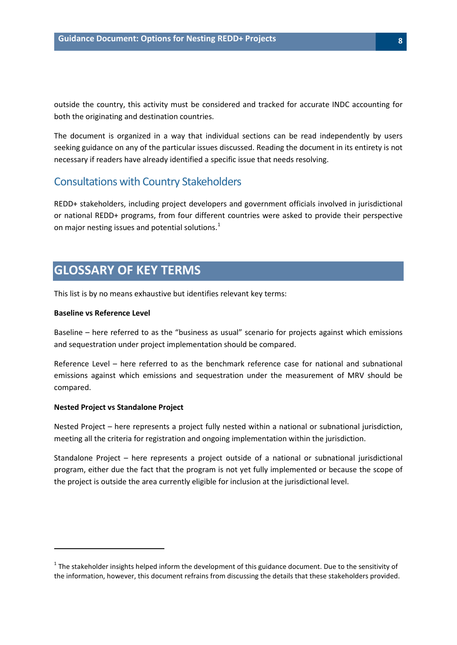outside the country, this activity must be considered and tracked for accurate INDC accounting for both the originating and destination countries.

The document is organized in a way that individual sections can be read independently by users seeking guidance on any of the particular issues discussed. Reading the document in its entirety is not necessary if readers have already identified a specific issue that needs resolving.

### <span id="page-7-0"></span>Consultations with Country Stakeholders

REDD+ stakeholders, including project developers and government officials involved in jurisdictional or national REDD+ programs, from four different countries were asked to provide their perspective on major nesting issues and potential solutions. $<sup>1</sup>$  $<sup>1</sup>$  $<sup>1</sup>$ </sup>

## <span id="page-7-1"></span>**GLOSSARY OF KEY TERMS**

This list is by no means exhaustive but identifies relevant key terms:

#### **Baseline vs Reference Level**

Baseline – here referred to as the "business as usual" scenario for projects against which emissions and sequestration under project implementation should be compared.

Reference Level – here referred to as the benchmark reference case for national and subnational emissions against which emissions and sequestration under the measurement of MRV should be compared.

#### **Nested Project vs Standalone Project**

l

Nested Project – here represents a project fully nested within a national or subnational jurisdiction, meeting all the criteria for registration and ongoing implementation within the jurisdiction.

Standalone Project – here represents a project outside of a national or subnational jurisdictional program, either due the fact that the program is not yet fully implemented or because the scope of the project is outside the area currently eligible for inclusion at the jurisdictional level.

<span id="page-7-2"></span> $1$  The stakeholder insights helped inform the development of this guidance document. Due to the sensitivity of the information, however, this document refrains from discussing the details that these stakeholders provided.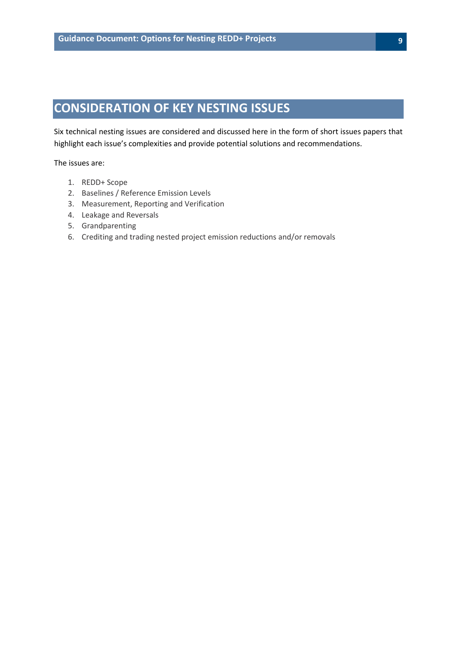## <span id="page-8-0"></span>**CONSIDERATION OF KEY NESTING ISSUES**

Six technical nesting issues are considered and discussed here in the form of short issues papers that highlight each issue's complexities and provide potential solutions and recommendations.

The issues are:

- 1. REDD+ Scope
- 2. Baselines / Reference Emission Levels
- 3. Measurement, Reporting and Verification
- 4. Leakage and Reversals
- 5. Grandparenting
- 6. Crediting and trading nested project emission reductions and/or removals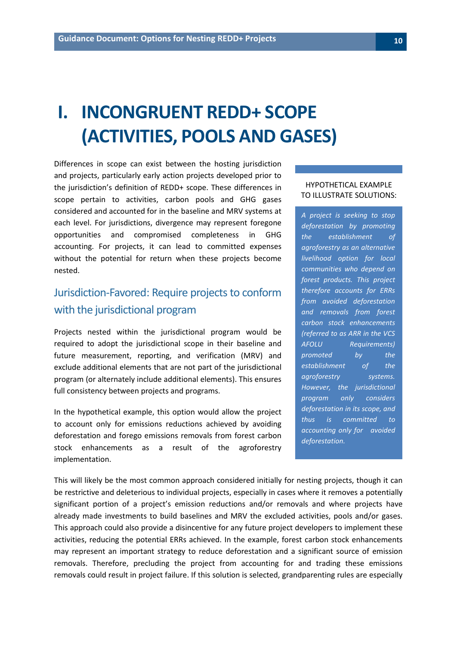# <span id="page-9-0"></span>**I. INCONGRUENT REDD+ SCOPE (ACTIVITIES, POOLS AND GASES)**

Differences in scope can exist between the hosting jurisdiction and projects, particularly early action projects developed prior to the jurisdiction's definition of REDD+ scope. These differences in scope pertain to activities, carbon pools and GHG gases considered and accounted for in the baseline and MRV systems at each level. For jurisdictions, divergence may represent foregone opportunities and compromised completeness in GHG accounting. For projects, it can lead to committed expenses without the potential for return when these projects become nested.

## <span id="page-9-1"></span>Jurisdiction-Favored: Require projects to conform with the jurisdictional program

Projects nested within the jurisdictional program would be required to adopt the jurisdictional scope in their baseline and future measurement, reporting, and verification (MRV) and exclude additional elements that are not part of the jurisdictional program (or alternately include additional elements). This ensures full consistency between projects and programs.

In the hypothetical example, this option would allow the project to account only for emissions reductions achieved by avoiding deforestation and forego emissions removals from forest carbon stock enhancements as a result of the agroforestry implementation.

#### HYPOTHETICAL EXAMPLE TO ILLUSTRATE SOLUTIONS:

*A project is seeking to stop deforestation by promoting the establishment of agroforestry as an alternative livelihood option for local communities who depend on forest products. This project therefore accounts for ERRs from avoided deforestation and removals from forest carbon stock enhancements (referred to as ARR in the VCS AFOLU Requirements) promoted by the establishment of the agroforestry systems. However, the jurisdictional program only considers deforestation in its scope, and thus is committed to accounting only for avoided deforestation.*

This will likely be the most common approach considered initially for nesting projects, though it can be restrictive and deleterious to individual projects, especially in cases where it removes a potentially significant portion of a project's emission reductions and/or removals and where projects have already made investments to build baselines and MRV the excluded activities, pools and/or gases. This approach could also provide a disincentive for any future project developers to implement these activities, reducing the potential ERRs achieved. In the example, forest carbon stock enhancements may represent an important strategy to reduce deforestation and a significant source of emission removals. Therefore, precluding the project from accounting for and trading these emissions removals could result in project failure. If this solution is selected, grandparenting rules are especially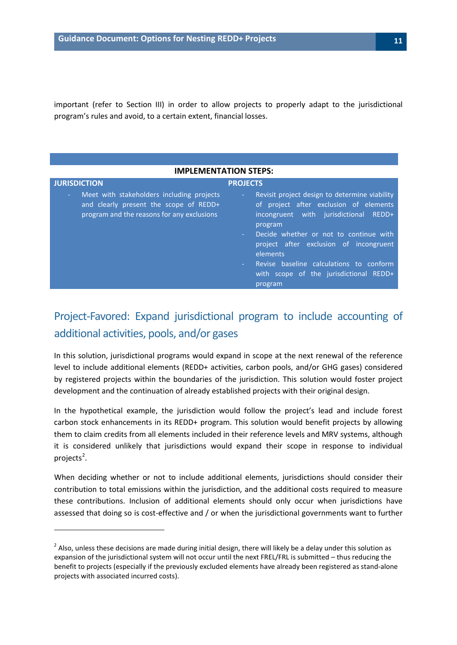important (refer to Section III) in order to allow projects to properly adapt to the jurisdictional program's rules and avoid, to a certain extent, financial losses.

| <b>IMPLEMENTATION STEPS:</b>                                                                                                      |                                                                                                                                                                                                                                                                                                                                                                            |  |
|-----------------------------------------------------------------------------------------------------------------------------------|----------------------------------------------------------------------------------------------------------------------------------------------------------------------------------------------------------------------------------------------------------------------------------------------------------------------------------------------------------------------------|--|
| <b>JURISDICTION</b>                                                                                                               | <b>PROJECTS</b>                                                                                                                                                                                                                                                                                                                                                            |  |
| Meet with stakeholders including projects<br>and clearly present the scope of REDD+<br>program and the reasons for any exclusions | Revisit project design to determine viability<br>$\sim$<br>of project after exclusion of elements<br>incongruent with jurisdictional REDD+<br>program<br>Decide whether or not to continue with<br>project after exclusion of incongruent<br>elements<br>Revise baseline calculations to conform<br>$\Delta \sim 100$<br>with scope of the jurisdictional REDD+<br>program |  |

## <span id="page-10-0"></span>Project-Favored: Expand jurisdictional program to include accounting of additional activities, pools, and/or gases

In this solution, jurisdictional programs would expand in scope at the next renewal of the reference level to include additional elements (REDD+ activities, carbon pools, and/or GHG gases) considered by registered projects within the boundaries of the jurisdiction. This solution would foster project development and the continuation of already established projects with their original design.

In the hypothetical example, the jurisdiction would follow the project's lead and include forest carbon stock enhancements in its REDD+ program. This solution would benefit projects by allowing them to claim credits from all elements included in their reference levels and MRV systems, although it is considered unlikely that jurisdictions would expand their scope in response to individual projects<sup>[2](#page-10-1)</sup>.

When deciding whether or not to include additional elements, jurisdictions should consider their contribution to total emissions within the jurisdiction, and the additional costs required to measure these contributions. Inclusion of additional elements should only occur when jurisdictions have assessed that doing so is cost-effective and / or when the jurisdictional governments want to further

 $\overline{\phantom{a}}$ 

<span id="page-10-1"></span> $<sup>2</sup>$  Also, unless these decisions are made during initial design, there will likely be a delay under this solution as</sup> expansion of the jurisdictional system will not occur until the next FREL/FRL is submitted – thus reducing the benefit to projects (especially if the previously excluded elements have already been registered as stand-alone projects with associated incurred costs).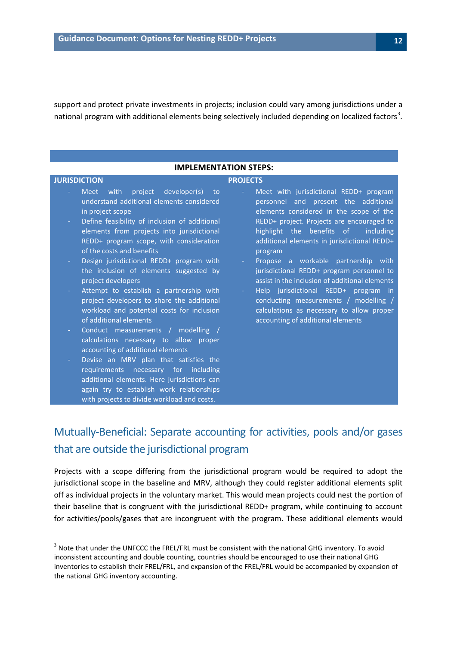support and protect private investments in projects; inclusion could vary among jurisdictions under a national program with additional elements being selectively included depending on localized factors<sup>[3](#page-11-1)</sup>.

#### **IMPLEMENTATION STEPS:**

 $\overline{\phantom{a}}$ 

#### **JURISDICTION PROJECTS**

- Meet with project developer(s) to understand additional elements considered in project scope
- Define feasibility of inclusion of additional elements from projects into jurisdictional REDD+ program scope, with consideration of the costs and benefits
- Design jurisdictional REDD+ program with the inclusion of elements suggested by project developers
- Attempt to establish a partnership with project developers to share the additional workload and potential costs for inclusion of additional elements
- Conduct measurements / modelling / calculations necessary to allow proper accounting of additional elements
- Devise an MRV plan that satisfies the requirements necessary for including additional elements. Here jurisdictions can again try to establish work relationships with projects to divide workload and costs.
- Meet with jurisdictional REDD+ program personnel and present the additional elements considered in the scope of the REDD+ project. Projects are encouraged to highlight the benefits of including additional elements in jurisdictional REDD+ program
- Propose a workable partnership with jurisdictional REDD+ program personnel to assist in the inclusion of additional elements
- Help jurisdictional REDD+ program in conducting measurements / modelling / calculations as necessary to allow proper accounting of additional elements

## <span id="page-11-0"></span>Mutually-Beneficial: Separate accounting for activities, pools and/or gases that are outside the jurisdictional program

Projects with a scope differing from the jurisdictional program would be required to adopt the jurisdictional scope in the baseline and MRV, although they could register additional elements split off as individual projects in the voluntary market. This would mean projects could nest the portion of their baseline that is congruent with the jurisdictional REDD+ program, while continuing to account for activities/pools/gases that are incongruent with the program. These additional elements would

<span id="page-11-1"></span><sup>&</sup>lt;sup>3</sup> Note that under the UNFCCC the FREL/FRL must be consistent with the national GHG inventory. To avoid inconsistent accounting and double counting, countries should be encouraged to use their national GHG inventories to establish their FREL/FRL, and expansion of the FREL/FRL would be accompanied by expansion of the national GHG inventory accounting.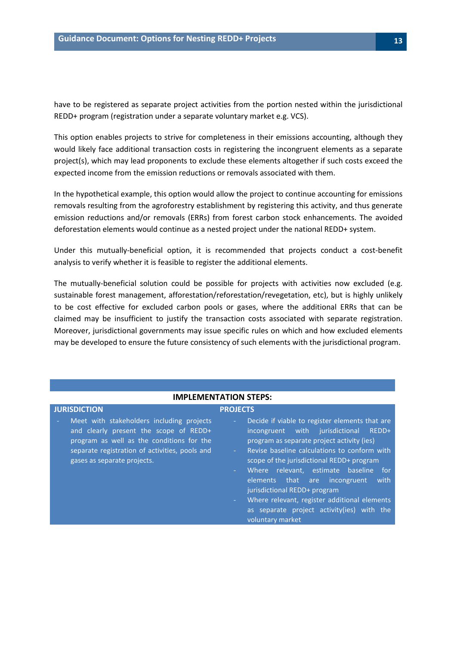have to be registered as separate project activities from the portion nested within the jurisdictional REDD+ program (registration under a separate voluntary market e.g. VCS).

This option enables projects to strive for completeness in their emissions accounting, although they would likely face additional transaction costs in registering the incongruent elements as a separate project(s), which may lead proponents to exclude these elements altogether if such costs exceed the expected income from the emission reductions or removals associated with them.

In the hypothetical example, this option would allow the project to continue accounting for emissions removals resulting from the agroforestry establishment by registering this activity, and thus generate emission reductions and/or removals (ERRs) from forest carbon stock enhancements. The avoided deforestation elements would continue as a nested project under the national REDD+ system.

Under this mutually-beneficial option, it is recommended that projects conduct a cost-benefit analysis to verify whether it is feasible to register the additional elements.

The mutually-beneficial solution could be possible for projects with activities now excluded (e.g. sustainable forest management, afforestation/reforestation/revegetation, etc), but is highly unlikely to be cost effective for excluded carbon pools or gases, where the additional ERRs that can be claimed may be insufficient to justify the transaction costs associated with separate registration. Moreover, jurisdictional governments may issue specific rules on which and how excluded elements may be developed to ensure the future consistency of such elements with the jurisdictional program.

|                                                                                                                                                                                                                   | <b>IMPLEMENTATION STEPS:</b>                                                                                                                                                                                                                                                                                                                                                                                                                                                                              |
|-------------------------------------------------------------------------------------------------------------------------------------------------------------------------------------------------------------------|-----------------------------------------------------------------------------------------------------------------------------------------------------------------------------------------------------------------------------------------------------------------------------------------------------------------------------------------------------------------------------------------------------------------------------------------------------------------------------------------------------------|
| <b>JURISDICTION</b>                                                                                                                                                                                               | <b>PROJECTS</b>                                                                                                                                                                                                                                                                                                                                                                                                                                                                                           |
| Meet with stakeholders including projects<br>and clearly present the scope of REDD+<br>program as well as the conditions for the<br>separate registration of activities, pools and<br>gases as separate projects. | Decide if viable to register elements that are<br>÷.<br>incongruent with jurisdictional<br>REDD+<br>program as separate project activity (ies)<br>Revise baseline calculations to conform with<br>$\sim$<br>scope of the jurisdictional REDD+ program<br>Where relevant, estimate baseline<br>for<br>$\sim 10$<br>elements that are incongruent<br>with<br>jurisdictional REDD+ program<br>Where relevant, register additional elements<br>as separate project activity(ies) with the<br>voluntary market |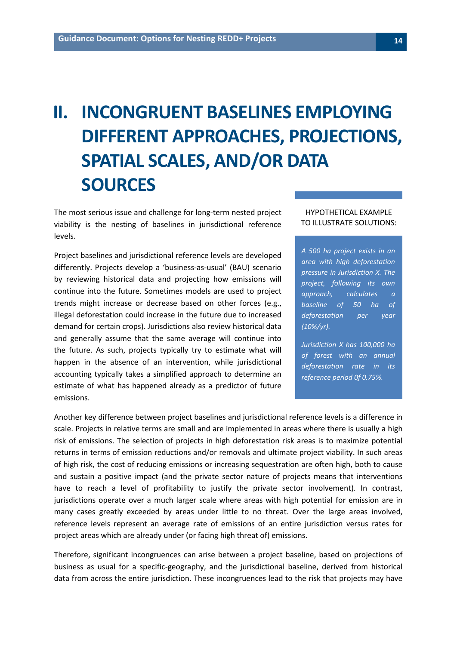# <span id="page-13-0"></span>**II. INCONGRUENT BASELINES EMPLOYING DIFFERENT APPROACHES, PROJECTIONS, SPATIAL SCALES, AND/OR DATA SOURCES**

The most serious issue and challenge for long-term nested project viability is the nesting of baselines in jurisdictional reference levels.

Project baselines and jurisdictional reference levels are developed differently. Projects develop a 'business-as-usual' (BAU) scenario by reviewing historical data and projecting how emissions will continue into the future. Sometimes models are used to project trends might increase or decrease based on other forces (e.g., illegal deforestation could increase in the future due to increased demand for certain crops). Jurisdictions also review historical data and generally assume that the same average will continue into the future. As such, projects typically try to estimate what will happen in the absence of an intervention, while jurisdictional accounting typically takes a simplified approach to determine an estimate of what has happened already as a predictor of future emissions.

#### HYPOTHETICAL EXAMPLE TO ILLUSTRATE SOLUTIONS:

*A 500 ha project exists in an area with high deforestation pressure in Jurisdiction X. The project, following its own approach, calculates a baseline of 50 ha of deforestation per year (10%/yr).*

*Jurisdiction X has 100,000 ha of forest with an annual deforestation rate in its reference period 0f 0.75%.*

Another key difference between project baselines and jurisdictional reference levels is a difference in scale. Projects in relative terms are small and are implemented in areas where there is usually a high risk of emissions. The selection of projects in high deforestation risk areas is to maximize potential returns in terms of emission reductions and/or removals and ultimate project viability. In such areas of high risk, the cost of reducing emissions or increasing sequestration are often high, both to cause and sustain a positive impact (and the private sector nature of projects means that interventions have to reach a level of profitability to justify the private sector involvement). In contrast, jurisdictions operate over a much larger scale where areas with high potential for emission are in many cases greatly exceeded by areas under little to no threat. Over the large areas involved, reference levels represent an average rate of emissions of an entire jurisdiction versus rates for project areas which are already under (or facing high threat of) emissions.

Therefore, significant incongruences can arise between a project baseline, based on projections of business as usual for a specific-geography, and the jurisdictional baseline, derived from historical data from across the entire jurisdiction. These incongruences lead to the risk that projects may have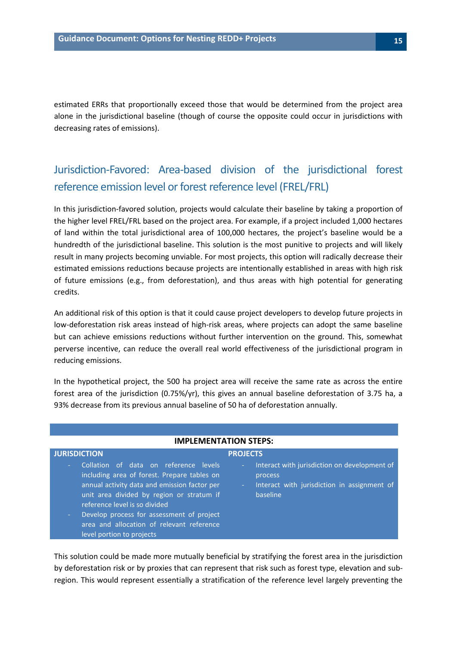estimated ERRs that proportionally exceed those that would be determined from the project area alone in the jurisdictional baseline (though of course the opposite could occur in jurisdictions with decreasing rates of emissions).

## <span id="page-14-0"></span>Jurisdiction-Favored: Area-based division of the jurisdictional forest reference emission level or forest reference level (FREL/FRL)

In this jurisdiction-favored solution, projects would calculate their baseline by taking a proportion of the higher level FREL/FRL based on the project area. For example, if a project included 1,000 hectares of land within the total jurisdictional area of 100,000 hectares, the project's baseline would be a hundredth of the jurisdictional baseline. This solution is the most punitive to projects and will likely result in many projects becoming unviable. For most projects, this option will radically decrease their estimated emissions reductions because projects are intentionally established in areas with high risk of future emissions (e.g., from deforestation), and thus areas with high potential for generating credits.

An additional risk of this option is that it could cause project developers to develop future projects in low-deforestation risk areas instead of high-risk areas, where projects can adopt the same baseline but can achieve emissions reductions without further intervention on the ground. This, somewhat perverse incentive, can reduce the overall real world effectiveness of the jurisdictional program in reducing emissions.

In the hypothetical project, the 500 ha project area will receive the same rate as across the entire forest area of the jurisdiction (0.75%/yr), this gives an annual baseline deforestation of 3.75 ha, a 93% decrease from its previous annual baseline of 50 ha of deforestation annually.

| <b>IMPLEMENTATION STEPS:</b>                                                                                                                                                                                                                                                                                                                          |                                                                                                                                                     |
|-------------------------------------------------------------------------------------------------------------------------------------------------------------------------------------------------------------------------------------------------------------------------------------------------------------------------------------------------------|-----------------------------------------------------------------------------------------------------------------------------------------------------|
| <b>JURISDICTION</b>                                                                                                                                                                                                                                                                                                                                   | <b>PROJECTS</b>                                                                                                                                     |
| Collation of data on reference levels<br>÷.<br>including area of forest. Prepare tables on<br>annual activity data and emission factor per<br>unit area divided by region or stratum if<br>reference level is so divided<br>Develop process for assessment of project<br>н.<br>area and allocation of relevant reference<br>level portion to projects | Interact with jurisdiction on development of<br>$\sim$<br>process<br>Interact with jurisdiction in assignment of<br>$\omega_{\rm{eff}}$<br>baseline |

This solution could be made more mutually beneficial by stratifying the forest area in the jurisdiction by deforestation risk or by proxies that can represent that risk such as forest type, elevation and subregion. This would represent essentially a stratification of the reference level largely preventing the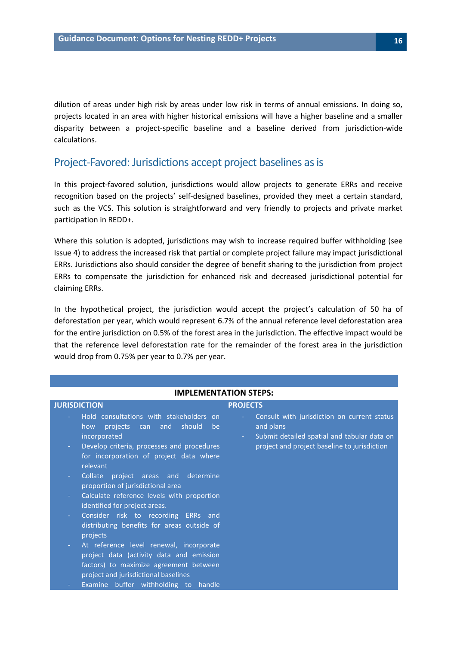dilution of areas under high risk by areas under low risk in terms of annual emissions. In doing so, projects located in an area with higher historical emissions will have a higher baseline and a smaller disparity between a project-specific baseline and a baseline derived from jurisdiction-wide calculations.

#### <span id="page-15-0"></span>Project-Favored: Jurisdictions accept project baselines as is

In this project-favored solution, jurisdictions would allow projects to generate ERRs and receive recognition based on the projects' self-designed baselines, provided they meet a certain standard, such as the VCS. This solution is straightforward and very friendly to projects and private market participation in REDD+.

Where this solution is adopted, jurisdictions may wish to increase required buffer withholding (see Issue 4) to address the increased risk that partial or complete project failure may impact jurisdictional ERRs. Jurisdictions also should consider the degree of benefit sharing to the jurisdiction from project ERRs to compensate the jurisdiction for enhanced risk and decreased jurisdictional potential for claiming ERRs.

In the hypothetical project, the jurisdiction would accept the project's calculation of 50 ha of deforestation per year, which would represent 6.7% of the annual reference level deforestation area for the entire jurisdiction on 0.5% of the forest area in the jurisdiction. The effective impact would be that the reference level deforestation rate for the remainder of the forest area in the jurisdiction would drop from 0.75% per year to 0.7% per year.

| <b>IMPLEMENTATION STEPS:</b>                                                                                                                                                                       |                                                                                                                                                                               |
|----------------------------------------------------------------------------------------------------------------------------------------------------------------------------------------------------|-------------------------------------------------------------------------------------------------------------------------------------------------------------------------------|
| <b>JURISDICTION</b>                                                                                                                                                                                | <b>PROJECTS</b>                                                                                                                                                               |
| Hold consultations with stakeholders on<br>projects<br>can and should be<br>how<br>incorporated<br>Develop criteria, processes and procedures<br>$\sim$<br>for incorporation of project data where | Consult with jurisdiction on current status<br>$\omega$<br>and plans<br>Submit detailed spatial and tabular data on<br>$\sim$<br>project and project baseline to jurisdiction |
| relevant                                                                                                                                                                                           |                                                                                                                                                                               |
| Collate project areas and determine<br>÷.<br>proportion of jurisdictional area<br>Calculate reference levels with proportion<br>$\sim$                                                             |                                                                                                                                                                               |
| identified for project areas.                                                                                                                                                                      |                                                                                                                                                                               |
| Consider risk to recording ERRs and<br>$\sim$<br>distributing benefits for areas outside of<br>projects                                                                                            |                                                                                                                                                                               |
| At reference level renewal, incorporate<br>÷<br>project data (activity data and emission<br>factors) to maximize agreement between<br>project and jurisdictional baselines                         |                                                                                                                                                                               |
| Examine buffer withholding to handle                                                                                                                                                               |                                                                                                                                                                               |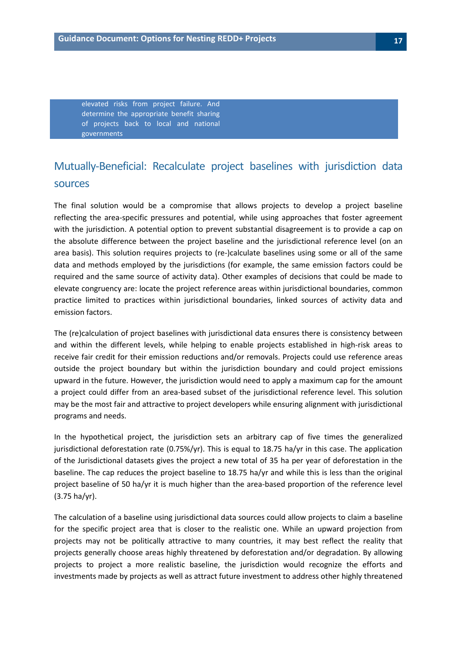elevated risks from project failure. And determine the appropriate benefit sharing of projects back to local and national governments

## <span id="page-16-0"></span>Mutually-Beneficial: Recalculate project baselines with jurisdiction data sources

The final solution would be a compromise that allows projects to develop a project baseline reflecting the area-specific pressures and potential, while using approaches that foster agreement with the jurisdiction. A potential option to prevent substantial disagreement is to provide a cap on the absolute difference between the project baseline and the jurisdictional reference level (on an area basis). This solution requires projects to (re-)calculate baselines using some or all of the same data and methods employed by the jurisdictions (for example, the same emission factors could be required and the same source of activity data). Other examples of decisions that could be made to elevate congruency are: locate the project reference areas within jurisdictional boundaries, common practice limited to practices within jurisdictional boundaries, linked sources of activity data and emission factors.

The (re)calculation of project baselines with jurisdictional data ensures there is consistency between and within the different levels, while helping to enable projects established in high-risk areas to receive fair credit for their emission reductions and/or removals. Projects could use reference areas outside the project boundary but within the jurisdiction boundary and could project emissions upward in the future. However, the jurisdiction would need to apply a maximum cap for the amount a project could differ from an area-based subset of the jurisdictional reference level. This solution may be the most fair and attractive to project developers while ensuring alignment with jurisdictional programs and needs.

In the hypothetical project, the jurisdiction sets an arbitrary cap of five times the generalized jurisdictional deforestation rate (0.75%/yr). This is equal to 18.75 ha/yr in this case. The application of the Jurisdictional datasets gives the project a new total of 35 ha per year of deforestation in the baseline. The cap reduces the project baseline to 18.75 ha/yr and while this is less than the original project baseline of 50 ha/yr it is much higher than the area-based proportion of the reference level (3.75 ha/yr).

The calculation of a baseline using jurisdictional data sources could allow projects to claim a baseline for the specific project area that is closer to the realistic one. While an upward projection from projects may not be politically attractive to many countries, it may best reflect the reality that projects generally choose areas highly threatened by deforestation and/or degradation. By allowing projects to project a more realistic baseline, the jurisdiction would recognize the efforts and investments made by projects as well as attract future investment to address other highly threatened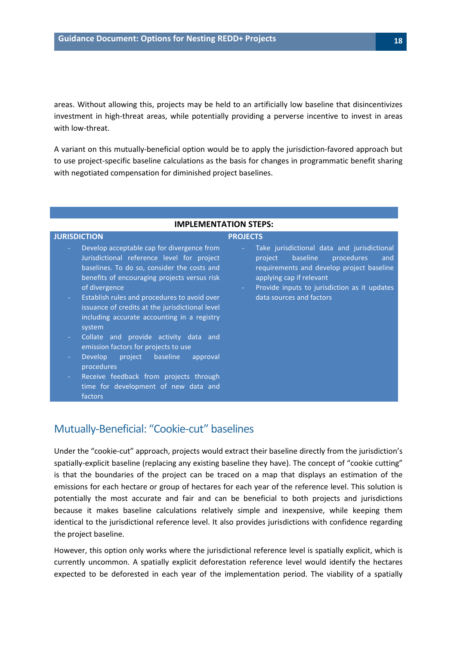areas. Without allowing this, projects may be held to an artificially low baseline that disincentivizes investment in high-threat areas, while potentially providing a perverse incentive to invest in areas with low-threat.

A variant on this mutually-beneficial option would be to apply the jurisdiction-favored approach but to use project-specific baseline calculations as the basis for changes in programmatic benefit sharing with negotiated compensation for diminished project baselines.

#### **IMPLEMENTATION STEPS:**

#### **JURISDICTION PROJECTS**

- Develop acceptable cap for divergence from Jurisdictional reference level for project baselines. To do so, consider the costs and benefits of encouraging projects versus risk of divergence
- Establish rules and procedures to avoid over issuance of credits at the jurisdictional level including accurate accounting in a registry system
- Collate and provide activity data and emission factors for projects to use
- Develop project baseline approval procedures
- Receive feedback from projects through time for development of new data and factors

#### - Take jurisdictional data and jurisdictional project baseline procedures and

- requirements and develop project baseline applying cap if relevant
- Provide inputs to jurisdiction as it updates data sources and factors

### <span id="page-17-0"></span>Mutually-Beneficial: "Cookie-cut" baselines

Under the "cookie-cut" approach, projects would extract their baseline directly from the jurisdiction's spatially-explicit baseline (replacing any existing baseline they have). The concept of "cookie cutting" is that the boundaries of the project can be traced on a map that displays an estimation of the emissions for each hectare or group of hectares for each year of the reference level. This solution is potentially the most accurate and fair and can be beneficial to both projects and jurisdictions because it makes baseline calculations relatively simple and inexpensive, while keeping them identical to the jurisdictional reference level. It also provides jurisdictions with confidence regarding the project baseline.

However, this option only works where the jurisdictional reference level is spatially explicit, which is currently uncommon. A spatially explicit deforestation reference level would identify the hectares expected to be deforested in each year of the implementation period. The viability of a spatially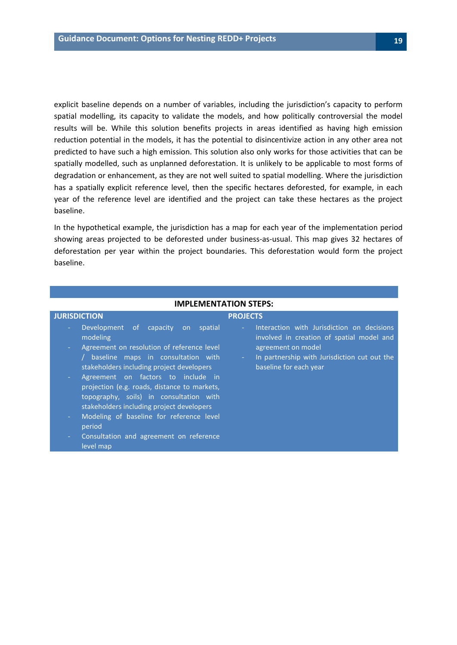explicit baseline depends on a number of variables, including the jurisdiction's capacity to perform spatial modelling, its capacity to validate the models, and how politically controversial the model results will be. While this solution benefits projects in areas identified as having high emission reduction potential in the models, it has the potential to disincentivize action in any other area not predicted to have such a high emission. This solution also only works for those activities that can be spatially modelled, such as unplanned deforestation. It is unlikely to be applicable to most forms of degradation or enhancement, as they are not well suited to spatial modelling. Where the jurisdiction has a spatially explicit reference level, then the specific hectares deforested, for example, in each year of the reference level are identified and the project can take these hectares as the project baseline.

In the hypothetical example, the jurisdiction has a map for each year of the implementation period showing areas projected to be deforested under business-as-usual. This map gives 32 hectares of deforestation per year within the project boundaries. This deforestation would form the project baseline.

| <b>IMPLEMENTATION STEPS:</b>                                                                                                                                                                                                                                                                                                                                                                            |                                                                                                                                              |
|---------------------------------------------------------------------------------------------------------------------------------------------------------------------------------------------------------------------------------------------------------------------------------------------------------------------------------------------------------------------------------------------------------|----------------------------------------------------------------------------------------------------------------------------------------------|
| <b>JURISDICTION</b><br>Development of capacity on spatial<br>÷.<br>modeling<br>Agreement on resolution of reference level<br>$\sim$                                                                                                                                                                                                                                                                     | <b>PROJECTS</b><br>Interaction with Jurisdiction on decisions<br>$\sim$ .<br>involved in creation of spatial model and<br>agreement on model |
| / baseline maps in consultation with<br>stakeholders including project developers<br>Agreement on factors to include in<br>$\sim$<br>projection (e.g. roads, distance to markets,<br>topography, soils) in consultation with<br>stakeholders including project developers<br>Modeling of baseline for reference level<br>÷.<br>period<br>Consultation and agreement on reference<br>$\sim$<br>level map | In partnership with Jurisdiction cut out the<br>$\omega_{\rm{max}}$<br>baseline for each year                                                |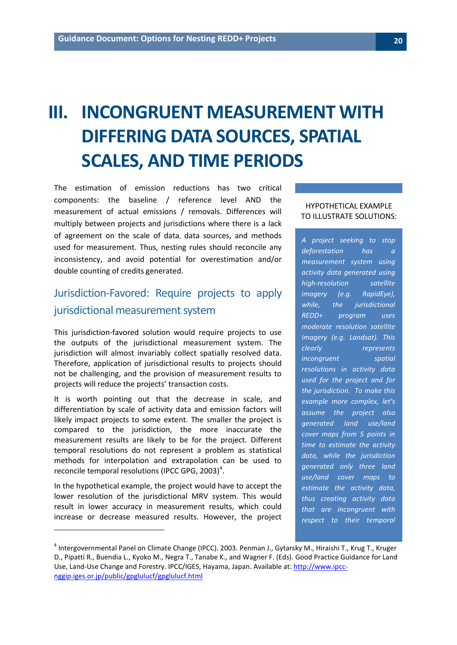# <span id="page-19-0"></span>**III. INCONGRUENT MEASUREMENT WITH DIFFERING DATA SOURCES, SPATIAL SCALES, AND TIME PERIODS**

The estimation of emission reductions has two critical components: the baseline / reference level AND the measurement of actual emissions / removals. Differences will multiply between projects and jurisdictions where there is a lack of agreement on the scale of data, data sources, and methods used for measurement. Thus, nesting rules should reconcile any inconsistency, and avoid potential for overestimation and/or double counting of credits generated.

## <span id="page-19-1"></span>Jurisdiction-Favored: Require projects to apply jurisdictional measurement system

This jurisdiction-favored solution would require projects to use the outputs of the jurisdictional measurement system. The jurisdiction will almost invariably collect spatially resolved data. Therefore, application of jurisdictional results to projects should not be challenging, and the provision of measurement results to projects will reduce the projects' transaction costs.

It is worth pointing out that the decrease in scale, and differentiation by scale of activity data and emission factors will likely impact projects to some extent. The smaller the project is compared to the jurisdiction, the more inaccurate the measurement results are likely to be for the project. Different temporal resolutions do not represent a problem as statistical methods for interpolation and extrapolation can be used to reconcile temporal resolutions (IPCC GPG, 2003)<sup>[4](#page-19-2)</sup>.

In the hypothetical example, the project would have to accept the lower resolution of the jurisdictional MRV system. This would result in lower accuracy in measurement results, which could increase or decrease measured results. However, the project

 $\overline{\phantom{a}}$ 

#### HYPOTHETICAL EXAMPLE TO ILLUSTRATE SOLUTIONS:

*A project seeking to stop deforestation has a measurement system using activity data generated using high-resolution satellite imagery (e.g. RapidEye), while, the jurisdictional REDD+ program uses moderate resolution satellite imagery (e.g. Landsat). This clearly represents incongruent spatial resolutions in activity data used for the project and for the jurisdiction. To make this example more complex, let's assume the project also generated land use/land cover maps from 5 points in time to estimate the activity data, while the jurisdiction generated only three land use/land cover maps to estimate the activity data, thus creating activity data that are incongruent with respect to their temporal* 

<span id="page-19-2"></span><sup>&</sup>lt;sup>4</sup> Intergovernmental Panel on Climate Change (IPCC). 2003. Penman J., Gytarsky M., Hiraishi T., Krug T., Kruger D., Pipatti R., Buendia L., Kyoko M., Negra T., Tanabe K., and Wagner F. (Eds). Good Practice Guidance for Land Use, Land-Use Change and Forestry. IPCC/IGES, Hayama, Japan. Available at: [http://www.ipcc](http://www.ipcc-nggip.iges.or.jp/public/gpglulucf/gpglulucf.html)[nggip.iges.or.jp/public/gpglulucf/gpglulucf.html](http://www.ipcc-nggip.iges.or.jp/public/gpglulucf/gpglulucf.html)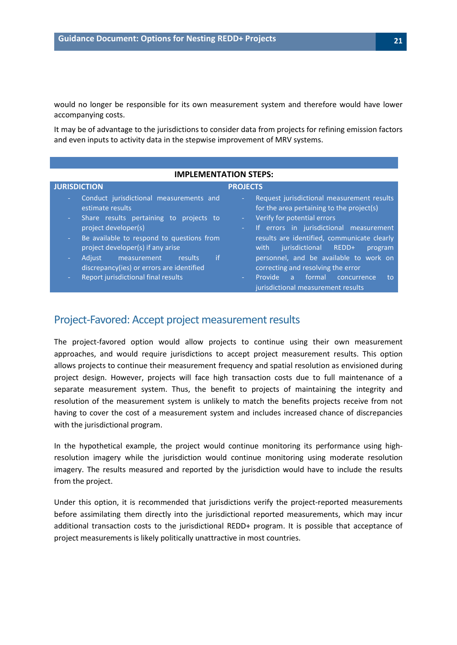would no longer be responsible for its own measurement system and therefore would have lower accompanying costs.

It may be of advantage to the jurisdictions to consider data from projects for refining emission factors and even inputs to activity data in the stepwise improvement of MRV systems.

| <b>IMPLEMENTATION STEPS:</b>                                                                                                                                                                                                                                                                |                                                                                                                                                                                                                                                                                                                            |  |
|---------------------------------------------------------------------------------------------------------------------------------------------------------------------------------------------------------------------------------------------------------------------------------------------|----------------------------------------------------------------------------------------------------------------------------------------------------------------------------------------------------------------------------------------------------------------------------------------------------------------------------|--|
| <b>JURISDICTION</b>                                                                                                                                                                                                                                                                         | <b>PROJECTS</b>                                                                                                                                                                                                                                                                                                            |  |
| Conduct jurisdictional measurements and<br>estimate results<br>Share results pertaining to projects to<br>$\sim$<br>project developer(s)<br>Be available to respond to questions from<br>$\sim$<br>project developer(s) if any arise<br>-if<br>measurement<br>results<br><b>Adjust</b><br>÷ | Request jurisdictional measurement results<br>н.<br>for the area pertaining to the project(s)<br>Verify for potential errors<br>÷<br>If errors in jurisdictional measurement<br>$\sim$<br>results are identified, communicate clearly<br>jurisdictional REDD+<br>with<br>program<br>personnel, and be available to work on |  |
| discrepancy(ies) or errors are identified                                                                                                                                                                                                                                                   | correcting and resolving the error                                                                                                                                                                                                                                                                                         |  |
| Report jurisdictional final results                                                                                                                                                                                                                                                         | formal<br>Provide<br>concurrence<br>a.<br>to<br>$\Delta \phi$<br>jurisdictional measurement results                                                                                                                                                                                                                        |  |

### <span id="page-20-0"></span>Project-Favored: Accept project measurement results

The project-favored option would allow projects to continue using their own measurement approaches, and would require jurisdictions to accept project measurement results. This option allows projects to continue their measurement frequency and spatial resolution as envisioned during project design. However, projects will face high transaction costs due to full maintenance of a separate measurement system. Thus, the benefit to projects of maintaining the integrity and resolution of the measurement system is unlikely to match the benefits projects receive from not having to cover the cost of a measurement system and includes increased chance of discrepancies with the jurisdictional program.

In the hypothetical example, the project would continue monitoring its performance using highresolution imagery while the jurisdiction would continue monitoring using moderate resolution imagery. The results measured and reported by the jurisdiction would have to include the results from the project.

Under this option, it is recommended that jurisdictions verify the project-reported measurements before assimilating them directly into the jurisdictional reported measurements, which may incur additional transaction costs to the jurisdictional REDD+ program. It is possible that acceptance of project measurements is likely politically unattractive in most countries.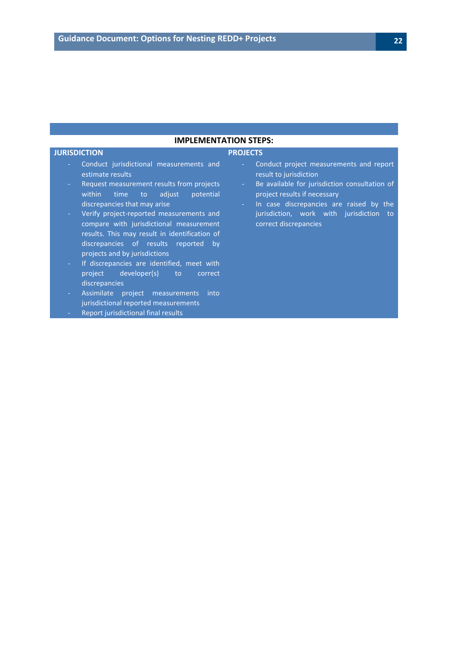#### **IMPLEMENTATION STEPS:**

#### **JURISDICTION PROJECTS**

- Conduct jurisdictional measurements and estimate results
- Request measurement results from projects within time to adjust potential discrepancies that may arise
- Verify project-reported measurements and compare with jurisdictional measurement results. This may result in identification of discrepancies of results reported by projects and by jurisdictions
- If discrepancies are identified, meet with project developer(s) to correct discrepancies
- Assimilate project measurements into jurisdictional reported measurements
- Report jurisdictional final results

- Conduct project measurements and report result to jurisdiction
- Be available for jurisdiction consultation of project results if necessary
- In case discrepancies are raised by the jurisdiction, work with jurisdiction to correct discrepancies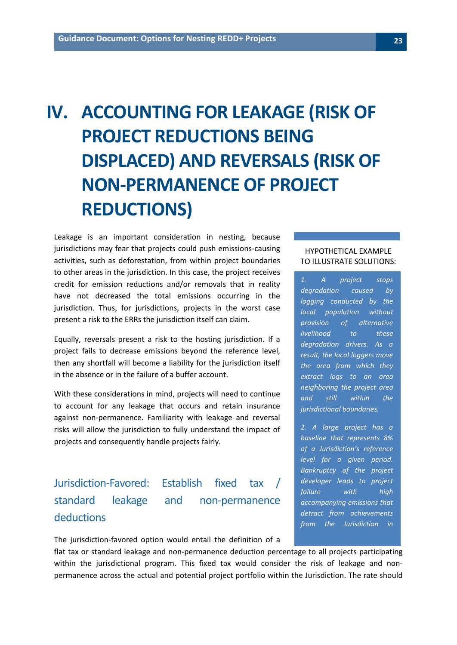# <span id="page-22-0"></span>**IV. ACCOUNTING FOR LEAKAGE (RISK OF PROJECT REDUCTIONS BEING DISPLACED) AND REVERSALS (RISK OF NON-PERMANENCE OF PROJECT REDUCTIONS)**

Leakage is an important consideration in nesting, because jurisdictions may fear that projects could push emissions-causing activities, such as deforestation, from within project boundaries to other areas in the jurisdiction. In this case, the project receives credit for emission reductions and/or removals that in reality have not decreased the total emissions occurring in the jurisdiction. Thus, for jurisdictions, projects in the worst case present a risk to the ERRs the jurisdiction itself can claim.

Equally, reversals present a risk to the hosting jurisdiction. If a project fails to decrease emissions beyond the reference level, then any shortfall will become a liability for the jurisdiction itself in the absence or in the failure of a buffer account.

With these considerations in mind, projects will need to continue to account for any leakage that occurs and retain insurance against non-permanence. Familiarity with leakage and reversal risks will allow the jurisdiction to fully understand the impact of projects and consequently handle projects fairly.

## <span id="page-22-1"></span>Jurisdiction-Favored: Establish fixed tax / standard leakage and non-permanence deductions

The jurisdiction-favored option would entail the definition of a

flat tax or standard leakage and non-permanence deduction percentage to all projects participating within the jurisdictional program. This fixed tax would consider the risk of leakage and nonpermanence across the actual and potential project portfolio within the Jurisdiction. The rate should

#### HYPOTHETICAL EXAMPLE TO ILLUSTRATE SOLUTIONS:

*1. A project stops degradation caused by logging conducted by the local population without provision of alternative livelihood to these degradation drivers. As a result, the local loggers move the area from which they extract logs to an area neighboring the project area and still within the jurisdictional boundaries.*

*2. A large project has a baseline that represents 8% of a Jurisdiction's reference level for a given period. Bankruptcy of the project developer leads to project failure with high accompanying emissions that detract from achievements from the Jurisdiction in*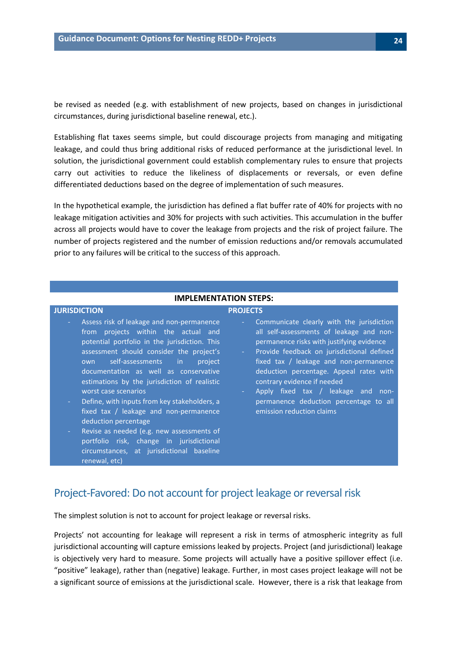be revised as needed (e.g. with establishment of new projects, based on changes in jurisdictional circumstances, during jurisdictional baseline renewal, etc.).

Establishing flat taxes seems simple, but could discourage projects from managing and mitigating leakage, and could thus bring additional risks of reduced performance at the jurisdictional level. In solution, the jurisdictional government could establish complementary rules to ensure that projects carry out activities to reduce the likeliness of displacements or reversals, or even define differentiated deductions based on the degree of implementation of such measures.

In the hypothetical example, the jurisdiction has defined a flat buffer rate of 40% for projects with no leakage mitigation activities and 30% for projects with such activities. This accumulation in the buffer across all projects would have to cover the leakage from projects and the risk of project failure. The number of projects registered and the number of emission reductions and/or removals accumulated prior to any failures will be critical to the success of this approach.

#### **IMPLEMENTATION STEPS: JURISDICTION PROJECTS** Assess risk of leakage and non-permanence from projects within the actual and potential portfolio in the jurisdiction. This assessment should consider the project's own self-assessments in project documentation as well as conservative estimations by the jurisdiction of realistic worst case scenarios Define, with inputs from key stakeholders, a fixed tax / leakage and non-permanence deduction percentage Revise as needed (e.g. new assessments of portfolio risk, change in jurisdictional circumstances, at jurisdictional baseline - Communicate clearly with the jurisdiction all self-assessments of leakage and nonpermanence risks with justifying evidence Provide feedback on jurisdictional defined fixed tax / leakage and non-permanence deduction percentage. Appeal rates with contrary evidence if needed Apply fixed tax / leakage and nonpermanence deduction percentage to all emission reduction claims

### <span id="page-23-0"></span>Project-Favored: Do not account for project leakage or reversal risk

The simplest solution is not to account for project leakage or reversal risks.

renewal, etc)

Projects' not accounting for leakage will represent a risk in terms of atmospheric integrity as full jurisdictional accounting will capture emissions leaked by projects. Project (and jurisdictional) leakage is objectively very hard to measure. Some projects will actually have a positive spillover effect (i.e. "positive" leakage), rather than (negative) leakage. Further, in most cases project leakage will not be a significant source of emissions at the jurisdictional scale. However, there is a risk that leakage from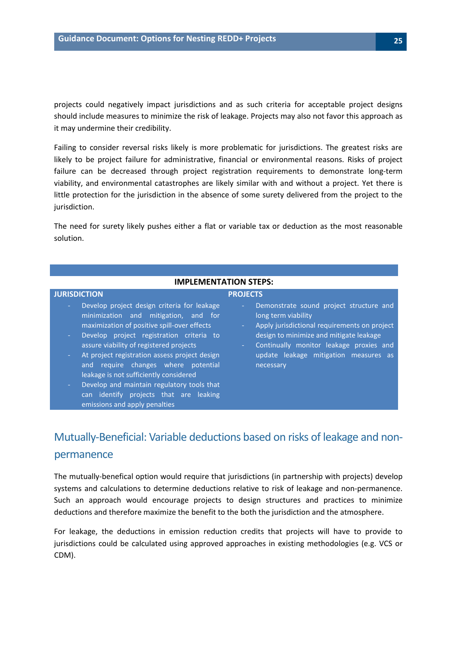projects could negatively impact jurisdictions and as such criteria for acceptable project designs should include measures to minimize the risk of leakage. Projects may also not favor this approach as it may undermine their credibility.

Failing to consider reversal risks likely is more problematic for jurisdictions. The greatest risks are likely to be project failure for administrative, financial or environmental reasons. Risks of project failure can be decreased through project registration requirements to demonstrate long-term viability, and environmental catastrophes are likely similar with and without a project. Yet there is little protection for the jurisdiction in the absence of some surety delivered from the project to the jurisdiction.

The need for surety likely pushes either a flat or variable tax or deduction as the most reasonable solution.

#### **IMPLEMENTATION STEPS:**

#### **JURISDICTION PROJECTS**

- Develop project design criteria for leakage minimization and mitigation, and for maximization of positive spill-over effects
- Develop project registration criteria to assure viability of registered projects
- At project registration assess project design and require changes where potential leakage is not sufficiently considered
- Develop and maintain regulatory tools that can identify projects that are leaking emissions and apply penalties
- Demonstrate sound project structure and long term viability
- Apply jurisdictional requirements on project design to minimize and mitigate leakage
- Continually monitor leakage proxies and update leakage mitigation measures as necessary

## <span id="page-24-0"></span>Mutually-Beneficial: Variable deductions based on risks of leakage and nonpermanence

The mutually-benefical option would require that jurisdictions (in partnership with projects) develop systems and calculations to determine deductions relative to risk of leakage and non-permanence. Such an approach would encourage projects to design structures and practices to minimize deductions and therefore maximize the benefit to the both the jurisdiction and the atmosphere.

For leakage, the deductions in emission reduction credits that projects will have to provide to jurisdictions could be calculated using approved approaches in existing methodologies (e.g. VCS or CDM).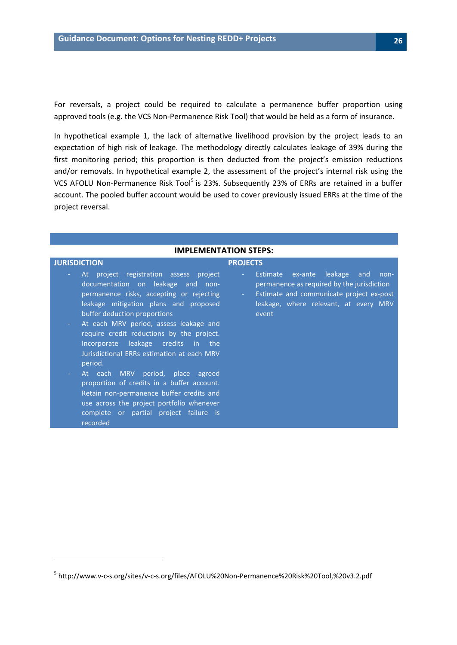For reversals, a project could be required to calculate a permanence buffer proportion using approved tools (e.g. the VCS Non-Permanence Risk Tool) that would be held as a form of insurance.

In hypothetical example 1, the lack of alternative livelihood provision by the project leads to an expectation of high risk of leakage. The methodology directly calculates leakage of 39% during the first monitoring period; this proportion is then deducted from the project's emission reductions and/or removals. In hypothetical example 2, the assessment of the project's internal risk using the VCS AFOLU Non-Permanence Risk Tool<sup>[5](#page-25-0)</sup> is 23%. Subsequently 23% of ERRs are retained in a buffer account. The pooled buffer account would be used to cover previously issued ERRs at the time of the project reversal.

#### **IMPLEMENTATION STEPS:**

#### **JURISDICTION PROJECTS** At project registration assess project documentation on leakage and nonpermanence risks, accepting or rejecting leakage mitigation plans and proposed buffer deduction proportions At each MRV period, assess leakage and require credit reductions by the project. event

- Incorporate leakage credits in the Jurisdictional ERRs estimation at each MRV period.
- At each MRV period, place agreed proportion of credits in a buffer account. Retain non-permanence buffer credits and use across the project portfolio whenever complete or partial project failure is recorded

 $\overline{\phantom{a}}$ 

- Estimate ex-ante leakage and nonpermanence as required by the jurisdiction
- Estimate and communicate project ex-post leakage, where relevant, at every MRV

<span id="page-25-0"></span><sup>5</sup> http://www.v-c-s.org/sites/v-c-s.org/files/AFOLU%20Non-Permanence%20Risk%20Tool,%20v3.2.pdf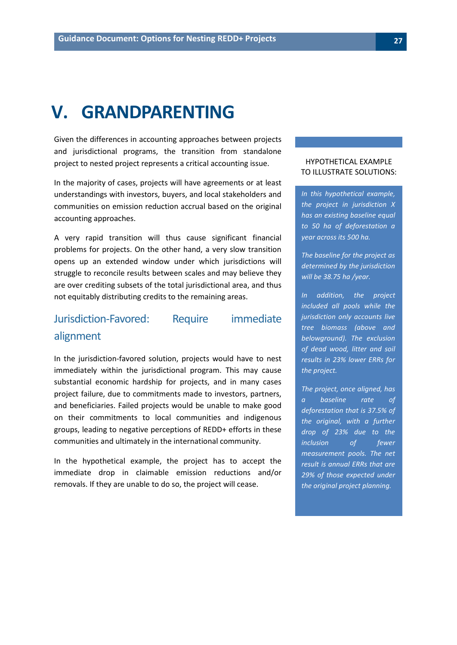## <span id="page-26-0"></span>**V. GRANDPARENTING**

Given the differences in accounting approaches between projects and jurisdictional programs, the transition from standalone project to nested project represents a critical accounting issue.

In the majority of cases, projects will have agreements or at least understandings with investors, buyers, and local stakeholders and communities on emission reduction accrual based on the original accounting approaches.

A very rapid transition will thus cause significant financial problems for projects. On the other hand, a very slow transition opens up an extended window under which jurisdictions will struggle to reconcile results between scales and may believe they are over crediting subsets of the total jurisdictional area, and thus not equitably distributing credits to the remaining areas.

## <span id="page-26-1"></span>Jurisdiction-Favored: Require immediate alignment

In the jurisdiction-favored solution, projects would have to nest immediately within the jurisdictional program. This may cause substantial economic hardship for projects, and in many cases project failure, due to commitments made to investors, partners, and beneficiaries. Failed projects would be unable to make good on their commitments to local communities and indigenous groups, leading to negative perceptions of REDD+ efforts in these communities and ultimately in the international community.

In the hypothetical example, the project has to accept the immediate drop in claimable emission reductions and/or removals. If they are unable to do so, the project will cease.

#### HYPOTHETICAL EXAMPLE TO ILLUSTRATE SOLUTIONS:

*In this hypothetical example, the project in jurisdiction X has an existing baseline equal to 50 ha of deforestation a year across its 500 ha.* 

*The baseline for the project as determined by the jurisdiction will be 38.75 ha /year.* 

*In addition, the project included all pools while the jurisdiction only accounts live tree biomass (above and belowground). The exclusion of dead wood, litter and soil results in 23% lower ERRs for the project.*

*The project, once aligned, has a baseline rate of deforestation that is 37.5% of the original, with a further drop of 23% due to the inclusion of fewer measurement pools. The net result is annual ERRs that are 29% of those expected under the original project planning.*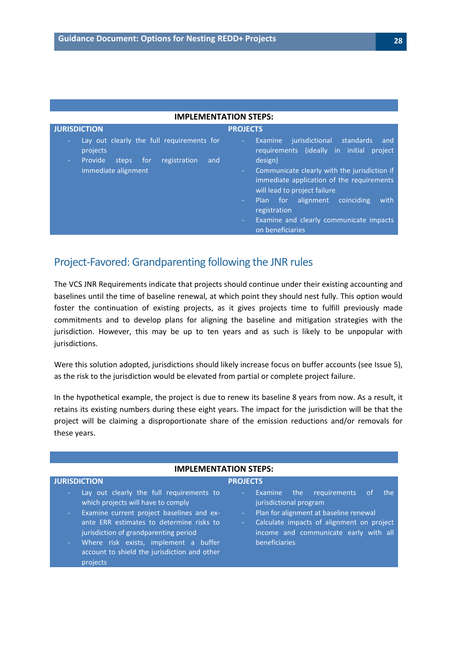| <b>JURISDICTION</b><br><b>PROJECTS</b><br>Lay out clearly the full requirements for<br>iurisdictional<br>standards<br>Examine<br>$\sim$<br>٠<br>projects<br><b>Provide</b><br>registration<br>design)<br>and<br>steps<br>for<br>$\sim$<br>immediate alignment<br>$\sim$ | <b>IMPLEMENTATION STEPS:</b> |                                                                                                                                                                                                 |
|-------------------------------------------------------------------------------------------------------------------------------------------------------------------------------------------------------------------------------------------------------------------------|------------------------------|-------------------------------------------------------------------------------------------------------------------------------------------------------------------------------------------------|
|                                                                                                                                                                                                                                                                         |                              |                                                                                                                                                                                                 |
| will lead to project failure<br>Plan for alignment<br>coinciding<br>$\sim 100$<br>registration<br>$\frac{1}{2} \left( \frac{1}{2} \right)$<br>on beneficiaries                                                                                                          |                              | and<br>requirements (ideally in initial project<br>Communicate clearly with the jurisdiction if<br>immediate application of the requirements<br>with<br>Examine and clearly communicate impacts |

### <span id="page-27-0"></span>Project-Favored: Grandparenting following the JNR rules

The VCS JNR Requirements indicate that projects should continue under their existing accounting and baselines until the time of baseline renewal, at which point they should nest fully. This option would foster the continuation of existing projects, as it gives projects time to fulfill previously made commitments and to develop plans for aligning the baseline and mitigation strategies with the jurisdiction. However, this may be up to ten years and as such is likely to be unpopular with jurisdictions.

Were this solution adopted, jurisdictions should likely increase focus on buffer accounts (see Issue 5), as the risk to the jurisdiction would be elevated from partial or complete project failure.

In the hypothetical example, the project is due to renew its baseline 8 years from now. As a result, it retains its existing numbers during these eight years. The impact for the jurisdiction will be that the project will be claiming a disproportionate share of the emission reductions and/or removals for these years.

#### **JURISDICTION PROJECTS**

#### **IMPLEMENTATION STEPS:**

- Lay out clearly the full requirements to which projects will have to comply
- Examine current project baselines and exante ERR estimates to determine risks to jurisdiction of grandparenting period
- Where risk exists, implement a buffer account to shield the jurisdiction and other projects
- Examine the requirements of the jurisdictional program
- Plan for alignment at baseline renewal
- Calculate impacts of alignment on project income and communicate early with all beneficiaries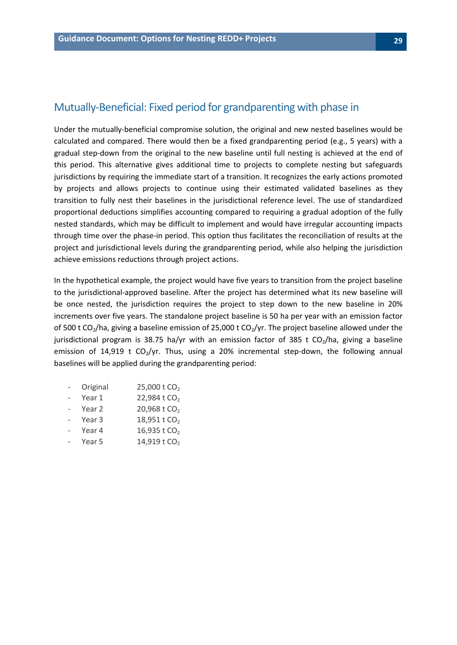#### <span id="page-28-0"></span>Mutually-Beneficial: Fixed period for grandparenting with phase in

Under the mutually-beneficial compromise solution, the original and new nested baselines would be calculated and compared. There would then be a fixed grandparenting period (e.g., 5 years) with a gradual step-down from the original to the new baseline until full nesting is achieved at the end of this period. This alternative gives additional time to projects to complete nesting but safeguards jurisdictions by requiring the immediate start of a transition. It recognizes the early actions promoted by projects and allows projects to continue using their estimated validated baselines as they transition to fully nest their baselines in the jurisdictional reference level. The use of standardized proportional deductions simplifies accounting compared to requiring a gradual adoption of the fully nested standards, which may be difficult to implement and would have irregular accounting impacts through time over the phase-in period. This option thus facilitates the reconciliation of results at the project and jurisdictional levels during the grandparenting period, while also helping the jurisdiction achieve emissions reductions through project actions.

In the hypothetical example, the project would have five years to transition from the project baseline to the jurisdictional-approved baseline. After the project has determined what its new baseline will be once nested, the jurisdiction requires the project to step down to the new baseline in 20% increments over five years. The standalone project baseline is 50 ha per year with an emission factor of 500 t CO<sub>2</sub>/ha, giving a baseline emission of 25,000 t CO<sub>2</sub>/yr. The project baseline allowed under the jurisdictional program is 38.75 ha/yr with an emission factor of 385 t  $CO<sub>2</sub>/h$ a, giving a baseline emission of 14,919 t  $CO_2$ /yr. Thus, using a 20% incremental step-down, the following annual baselines will be applied during the grandparenting period:

- Original  $25,000$  t CO<sub>2</sub>
- Year  $1$  22,984 t CO<sub>2</sub>
- Year 2  $20,968$  t  $CO<sub>2</sub>$
- Year 3  $18,951$  t CO<sub>2</sub>
- Year 4  $16,935 \text{ t } CO_2$
- Year 5  $14,919$  t CO<sub>2</sub>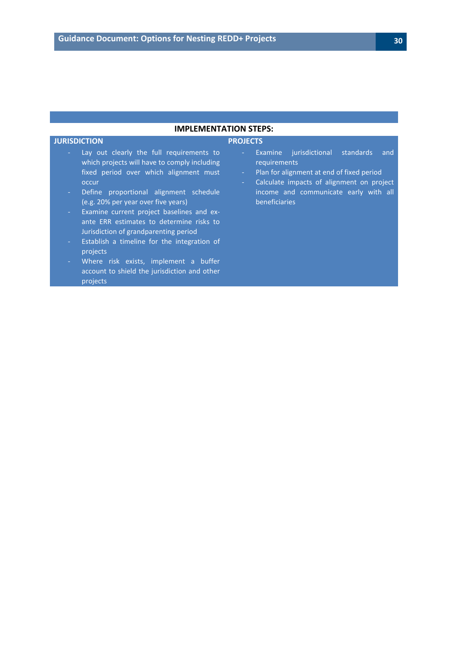#### **IMPLEMENTATION STEPS:**

#### **JURISDICTION PROJECTS**

- Lay out clearly the full requirements to which projects will have to comply including fixed period over which alignment must occur
- Define proportional alignment schedule (e.g. 20% per year over five years)
- Examine current project baselines and exante ERR estimates to determine risks to Jurisdiction of grandparenting period
- Establish a timeline for the integration of projects
- Where risk exists, implement a buffer account to shield the jurisdiction and other projects

- Examine jurisdictional standards and requirements
- Plan for alignment at end of fixed period
- Calculate impacts of alignment on project income and communicate early with all beneficiaries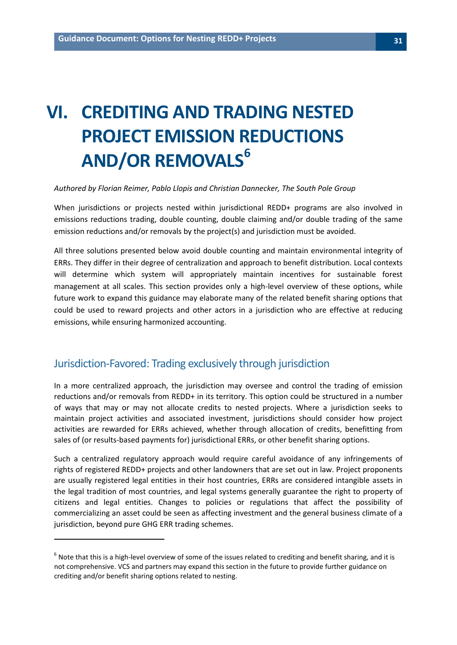# <span id="page-30-0"></span>**VI. CREDITING AND TRADING NESTED PROJECT EMISSION REDUCTIONS AND/OR REMOVAL[S6](#page-30-2)**

#### *Authored by Florian Reimer, Pablo Llopis and Christian Dannecker, The South Pole Group*

When jurisdictions or projects nested within jurisdictional REDD+ programs are also involved in emissions reductions trading, double counting, double claiming and/or double trading of the same emission reductions and/or removals by the project(s) and jurisdiction must be avoided.

All three solutions presented below avoid double counting and maintain environmental integrity of ERRs. They differ in their degree of centralization and approach to benefit distribution. Local contexts will determine which system will appropriately maintain incentives for sustainable forest management at all scales. This section provides only a high-level overview of these options, while future work to expand this guidance may elaborate many of the related benefit sharing options that could be used to reward projects and other actors in a jurisdiction who are effective at reducing emissions, while ensuring harmonized accounting.

#### <span id="page-30-1"></span>Jurisdiction-Favored: Trading exclusively through jurisdiction

 $\overline{\phantom{a}}$ 

In a more centralized approach, the jurisdiction may oversee and control the trading of emission reductions and/or removals from REDD+ in its territory. This option could be structured in a number of ways that may or may not allocate credits to nested projects. Where a jurisdiction seeks to maintain project activities and associated investment, jurisdictions should consider how project activities are rewarded for ERRs achieved, whether through allocation of credits, benefitting from sales of (or results-based payments for) jurisdictional ERRs, or other benefit sharing options.

Such a centralized regulatory approach would require careful avoidance of any infringements of rights of registered REDD+ projects and other landowners that are set out in law. Project proponents are usually registered legal entities in their host countries, ERRs are considered intangible assets in the legal tradition of most countries, and legal systems generally guarantee the right to property of citizens and legal entities. Changes to policies or regulations that affect the possibility of commercializing an asset could be seen as affecting investment and the general business climate of a jurisdiction, beyond pure GHG ERR trading schemes.

<span id="page-30-2"></span> $6$  Note that this is a high-level overview of some of the issues related to crediting and benefit sharing, and it is not comprehensive. VCS and partners may expand this section in the future to provide further guidance on crediting and/or benefit sharing options related to nesting.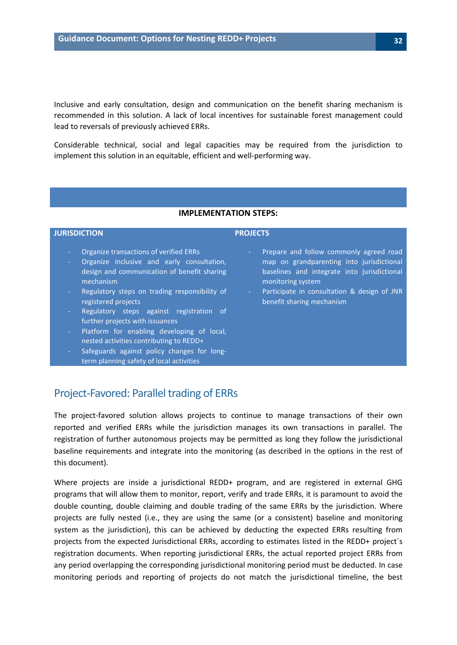Inclusive and early consultation, design and communication on the benefit sharing mechanism is recommended in this solution. A lack of local incentives for sustainable forest management could lead to reversals of previously achieved ERRs.

Considerable technical, social and legal capacities may be required from the jurisdiction to implement this solution in an equitable, efficient and well-performing way.

#### **IMPLEMENTATION STEPS:**

#### **JURISDICTION PROJECTS**

- 
- Organize transactions of verified ERRs
- Organize inclusive and early consultation, design and communication of benefit sharing mechanism
- Regulatory steps on trading responsibility of registered projects
- Regulatory steps against registration of further projects with issuances
- Platform for enabling developing of local, nested activities contributing to REDD+
- Safeguards against policy changes for longterm planning safety of local activities
- Prepare and follow commonly agreed road map on grandparenting into jurisdictional baselines and integrate into jurisdictional monitoring system
- Participate in consultation & design of JNR benefit sharing mechanism

#### <span id="page-31-0"></span>Project-Favored: Parallel trading of ERRs

The project-favored solution allows projects to continue to manage transactions of their own reported and verified ERRs while the jurisdiction manages its own transactions in parallel. The registration of further autonomous projects may be permitted as long they follow the jurisdictional baseline requirements and integrate into the monitoring (as described in the options in the rest of this document).

Where projects are inside a jurisdictional REDD+ program, and are registered in external GHG programs that will allow them to monitor, report, verify and trade ERRs, it is paramount to avoid the double counting, double claiming and double trading of the same ERRs by the jurisdiction. Where projects are fully nested (i.e., they are using the same (or a consistent) baseline and monitoring system as the jurisdiction), this can be achieved by deducting the expected ERRs resulting from projects from the expected Jurisdictional ERRs, according to estimates listed in the REDD+ project´s registration documents. When reporting jurisdictional ERRs, the actual reported project ERRs from any period overlapping the corresponding jurisdictional monitoring period must be deducted. In case monitoring periods and reporting of projects do not match the jurisdictional timeline, the best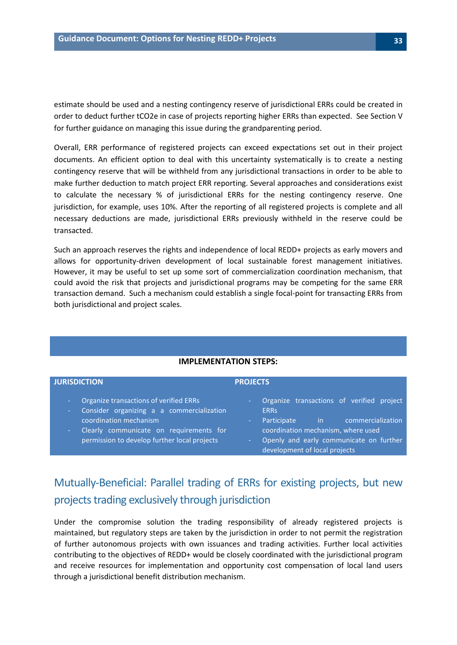estimate should be used and a nesting contingency reserve of jurisdictional ERRs could be created in order to deduct further tCO2e in case of projects reporting higher ERRs than expected. See Section V for further guidance on managing this issue during the grandparenting period.

Overall, ERR performance of registered projects can exceed expectations set out in their project documents. An efficient option to deal with this uncertainty systematically is to create a nesting contingency reserve that will be withheld from any jurisdictional transactions in order to be able to make further deduction to match project ERR reporting. Several approaches and considerations exist to calculate the necessary % of jurisdictional ERRs for the nesting contingency reserve. One jurisdiction, for example, uses 10%. After the reporting of all registered projects is complete and all necessary deductions are made, jurisdictional ERRs previously withheld in the reserve could be transacted.

Such an approach reserves the rights and independence of local REDD+ projects as early movers and allows for opportunity-driven development of local sustainable forest management initiatives. However, it may be useful to set up some sort of commercialization coordination mechanism, that could avoid the risk that projects and jurisdictional programs may be competing for the same ERR transaction demand. Such a mechanism could establish a single focal-point for transacting ERRs from both jurisdictional and project scales.

| <u>HVIF LLIVILIV I ATIVIV JI LF J.</u>                                                                                                                                                                                       |                                                                                                                                                                                                                                   |
|------------------------------------------------------------------------------------------------------------------------------------------------------------------------------------------------------------------------------|-----------------------------------------------------------------------------------------------------------------------------------------------------------------------------------------------------------------------------------|
| <b>JURISDICTION</b>                                                                                                                                                                                                          | <b>PROJECTS</b>                                                                                                                                                                                                                   |
| Organize transactions of verified ERRs<br>٠<br>Consider organizing a a commercialization<br>÷<br>coordination mechanism<br>Clearly communicate on requirements for<br>$\sim$<br>permission to develop further local projects | Organize transactions of verified project<br><b>ERRS</b><br>commercialization<br>Participate<br>$\mathsf{in}$ .<br>coordination mechanism, where used<br>Openly and early communicate on further<br>development of local projects |

#### **IMPLEMENTATION STEPS:**

## <span id="page-32-0"></span>Mutually-Beneficial: Parallel trading of ERRs for existing projects, but new projects trading exclusively through jurisdiction

Under the compromise solution the trading responsibility of already registered projects is maintained, but regulatory steps are taken by the jurisdiction in order to not permit the registration of further autonomous projects with own issuances and trading activities. Further local activities contributing to the objectives of REDD+ would be closely coordinated with the jurisdictional program and receive resources for implementation and opportunity cost compensation of local land users through a jurisdictional benefit distribution mechanism.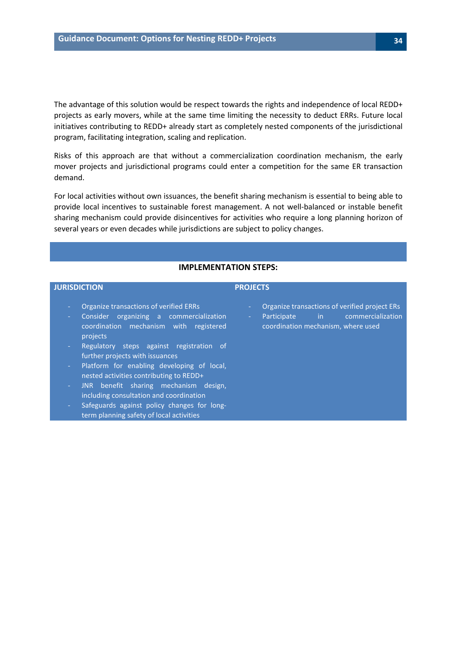The advantage of this solution would be respect towards the rights and independence of local REDD+ projects as early movers, while at the same time limiting the necessity to deduct ERRs. Future local initiatives contributing to REDD+ already start as completely nested components of the jurisdictional program, facilitating integration, scaling and replication.

Risks of this approach are that without a commercialization coordination mechanism, the early mover projects and jurisdictional programs could enter a competition for the same ER transaction demand.

For local activities without own issuances, the benefit sharing mechanism is essential to being able to provide local incentives to sustainable forest management. A not well-balanced or instable benefit sharing mechanism could provide disincentives for activities who require a long planning horizon of several years or even decades while jurisdictions are subject to policy changes.

#### **IMPLEMENTATION STEPS:**

#### **JURISDICTION PROJECTS**

- Organize transactions of verified ERRs
- Consider organizing a commercialization coordination mechanism with registered projects
- Regulatory steps against registration of further projects with issuances
- Platform for enabling developing of local, nested activities contributing to REDD+
- JNR benefit sharing mechanism design, including consultation and coordination
- Safeguards against policy changes for longterm planning safety of local activities
- Organize transactions of verified project ERs
- Participate in commercialization coordination mechanism, where used